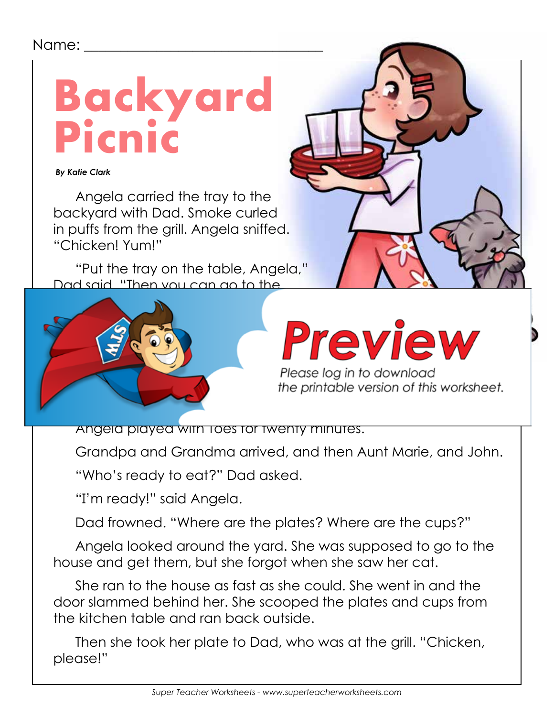## Name: \_\_\_\_\_\_\_\_\_\_\_\_\_\_\_\_\_\_\_\_\_\_\_\_\_\_\_\_\_\_\_\_\_



 *By Katie Clark*

Angela carried the tray to the backyard with Dad. Smoke curled in puffs from the grill. Angela sniffed. "Chicken! Yum!"

"Put the tray on the table, Angela," Dad said. "Then you can go to the



Angela played with Toes for twenty minutes.

Grandpa and Grandma arrived, and then Aunt Marie, and John.

"Who's ready to eat?" Dad asked.

"I'm ready!" said Angela.

Dad frowned. "Where are the plates? Where are the cups?"

Angela looked around the yard. She was supposed to go to the house and get them, but she forgot when she saw her cat.

She ran to the house as fast as she could. She went in and the door slammed behind her. She scooped the plates and cups from the kitchen table and ran back outside.

Then she took her plate to Dad, who was at the grill. "Chicken, please!"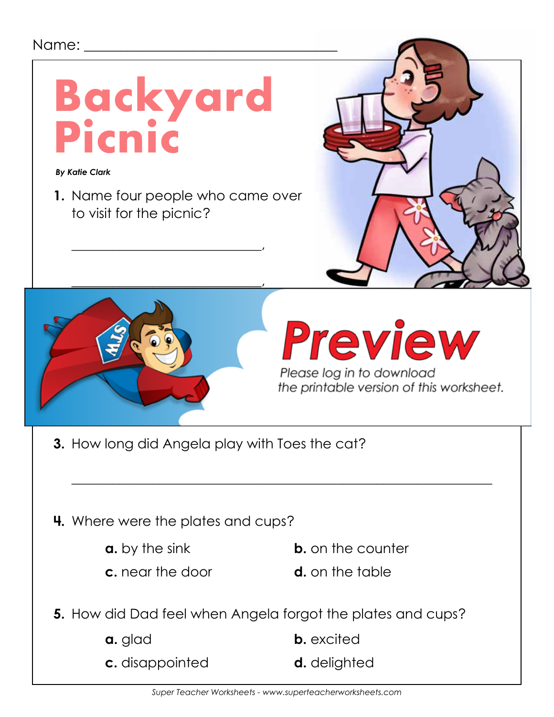

| a. glad         | <b>b.</b> excited |
|-----------------|-------------------|
| c. disappointed | d. delighted      |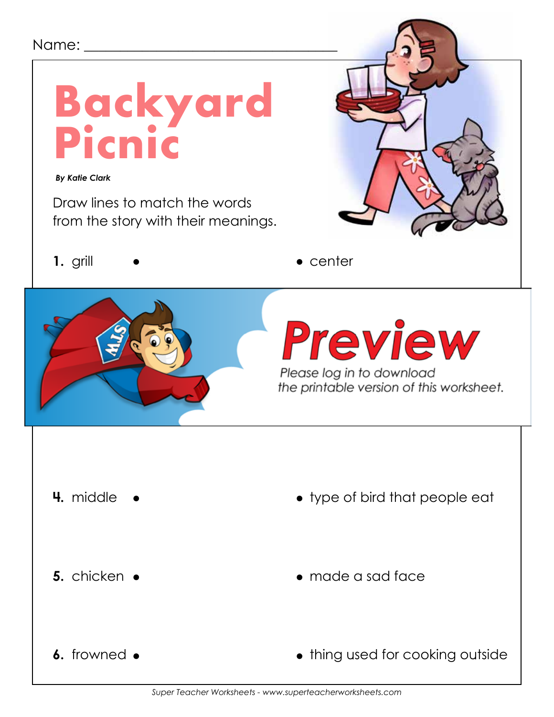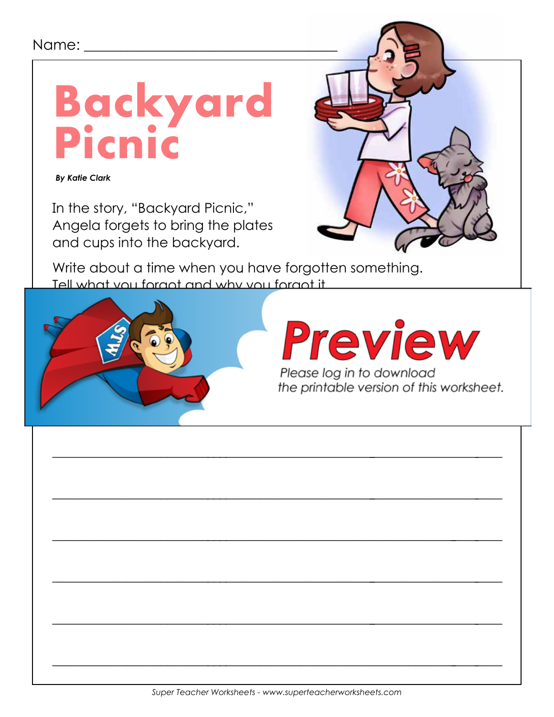### Name: \_\_



**By Katie Clark** 

In the story, "Backyard Picnic," Angela forgets to bring the plates and cups into the backyard.

Write about a time when you have forgotten something. Tell what you foract and why you foract it

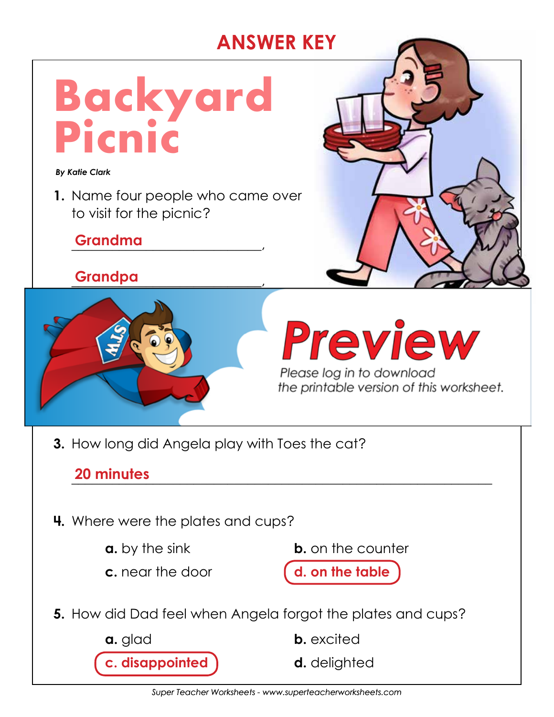# **ANSWER KEY**